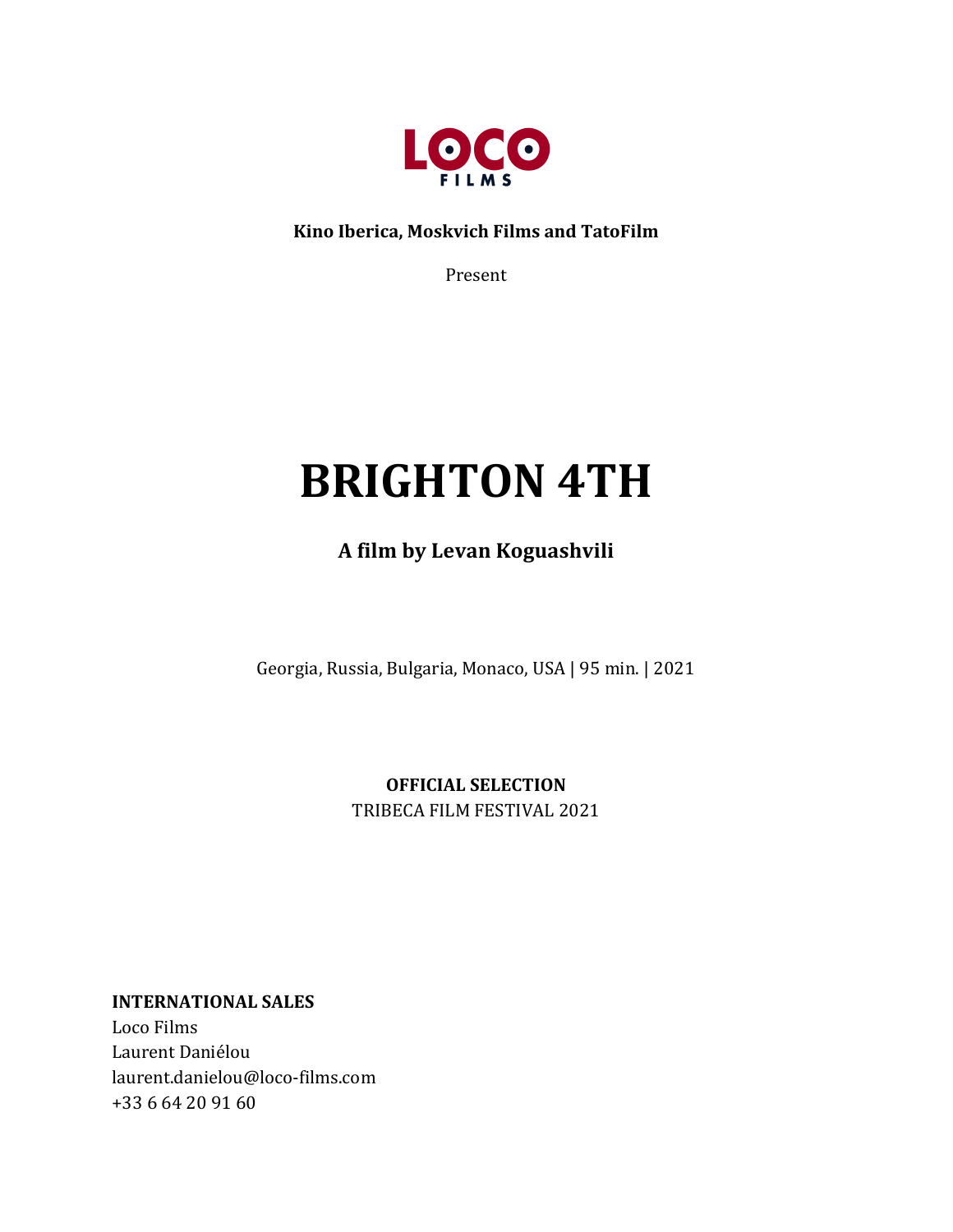

Kino Iberica, Moskvich Films and TatoFilm

Present

# **BRIGHTON 4TH**

**A film by Levan Koguashvili**

Georgia, Russia, Bulgaria, Monaco, USA | 95 min. | 2021

**OFFICIAL SELECTION** TRIBECA FILM FESTIVAL 2021

**INTERNATIONAL SALES** 

Loco Films Laurent Daniélou laurent.danielou@loco-films.com +33 6 64 20 91 60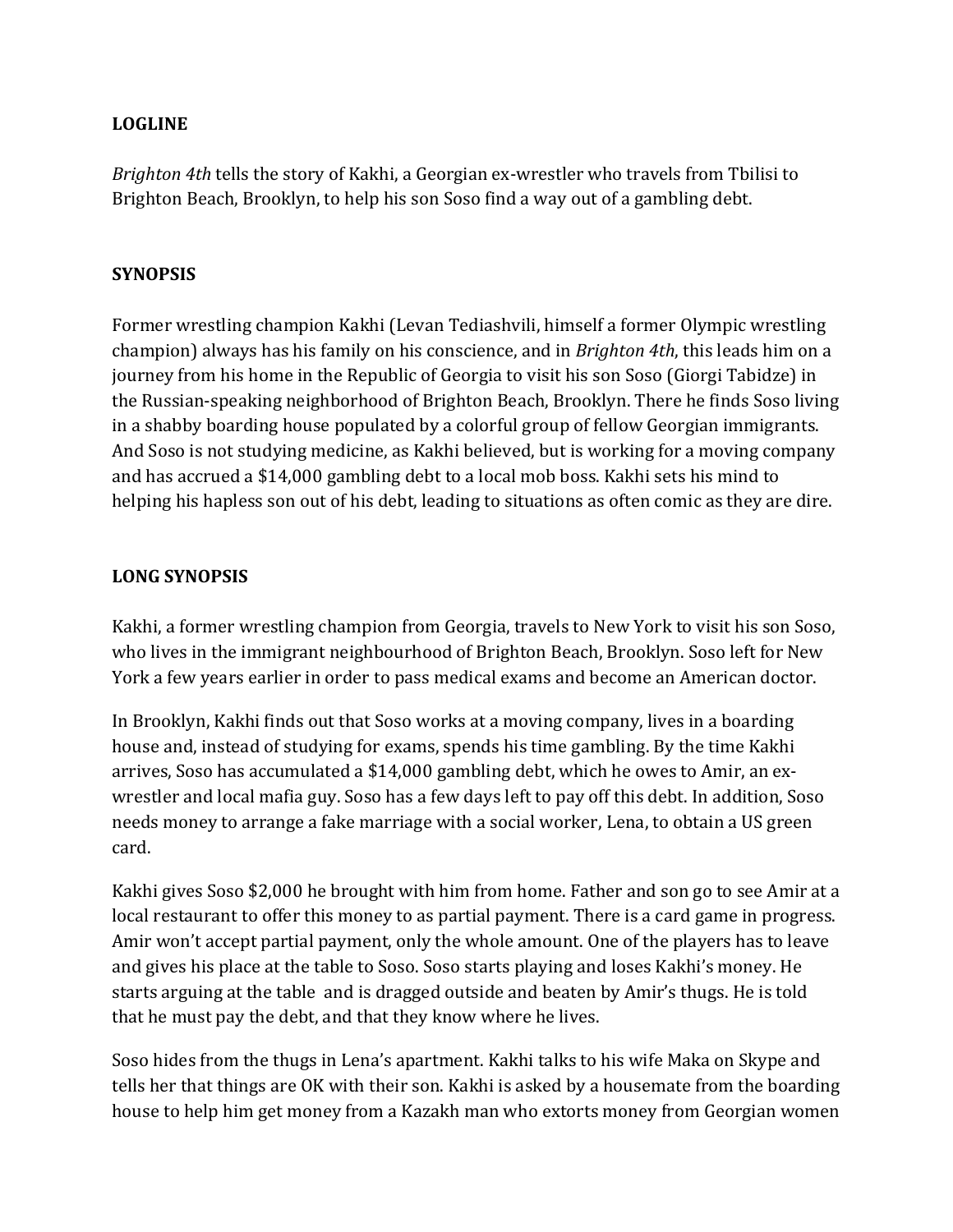#### **LOGLINE**

*Brighton* 4th tells the story of Kakhi, a Georgian ex-wrestler who travels from Tbilisi to Brighton Beach, Brooklyn, to help his son Soso find a way out of a gambling debt.

#### **SYNOPSIS**

Former wrestling champion Kakhi (Levan Tediashvili, himself a former Olympic wrestling champion) always has his family on his conscience, and in *Brighton 4th*, this leads him on a journey from his home in the Republic of Georgia to visit his son Soso (Giorgi Tabidze) in the Russian-speaking neighborhood of Brighton Beach, Brooklyn. There he finds Soso living in a shabby boarding house populated by a colorful group of fellow Georgian immigrants. And Soso is not studying medicine, as Kakhi believed, but is working for a moving company and has accrued a \$14,000 gambling debt to a local mob boss. Kakhi sets his mind to helping his hapless son out of his debt, leading to situations as often comic as they are dire.

## **LONG SYNOPSIS**

Kakhi, a former wrestling champion from Georgia, travels to New York to visit his son Soso, who lives in the immigrant neighbourhood of Brighton Beach, Brooklyn. Soso left for New York a few years earlier in order to pass medical exams and become an American doctor.

In Brooklyn, Kakhi finds out that Soso works at a moving company, lives in a boarding house and, instead of studying for exams, spends his time gambling. By the time Kakhi arrives, Soso has accumulated a \$14,000 gambling debt, which he owes to Amir, an exwrestler and local mafia guy. Soso has a few days left to pay off this debt. In addition, Soso needs money to arrange a fake marriage with a social worker, Lena, to obtain a US green card. 

Kakhi gives Soso \$2,000 he brought with him from home. Father and son go to see Amir at a local restaurant to offer this money to as partial payment. There is a card game in progress. Amir won't accept partial payment, only the whole amount. One of the players has to leave and gives his place at the table to Soso. Soso starts playing and loses Kakhi's money. He starts arguing at the table and is dragged outside and beaten by Amir's thugs. He is told that he must pay the debt, and that they know where he lives.

Soso hides from the thugs in Lena's apartment. Kakhi talks to his wife Maka on Skype and tells her that things are OK with their son. Kakhi is asked by a housemate from the boarding house to help him get money from a Kazakh man who extorts money from Georgian women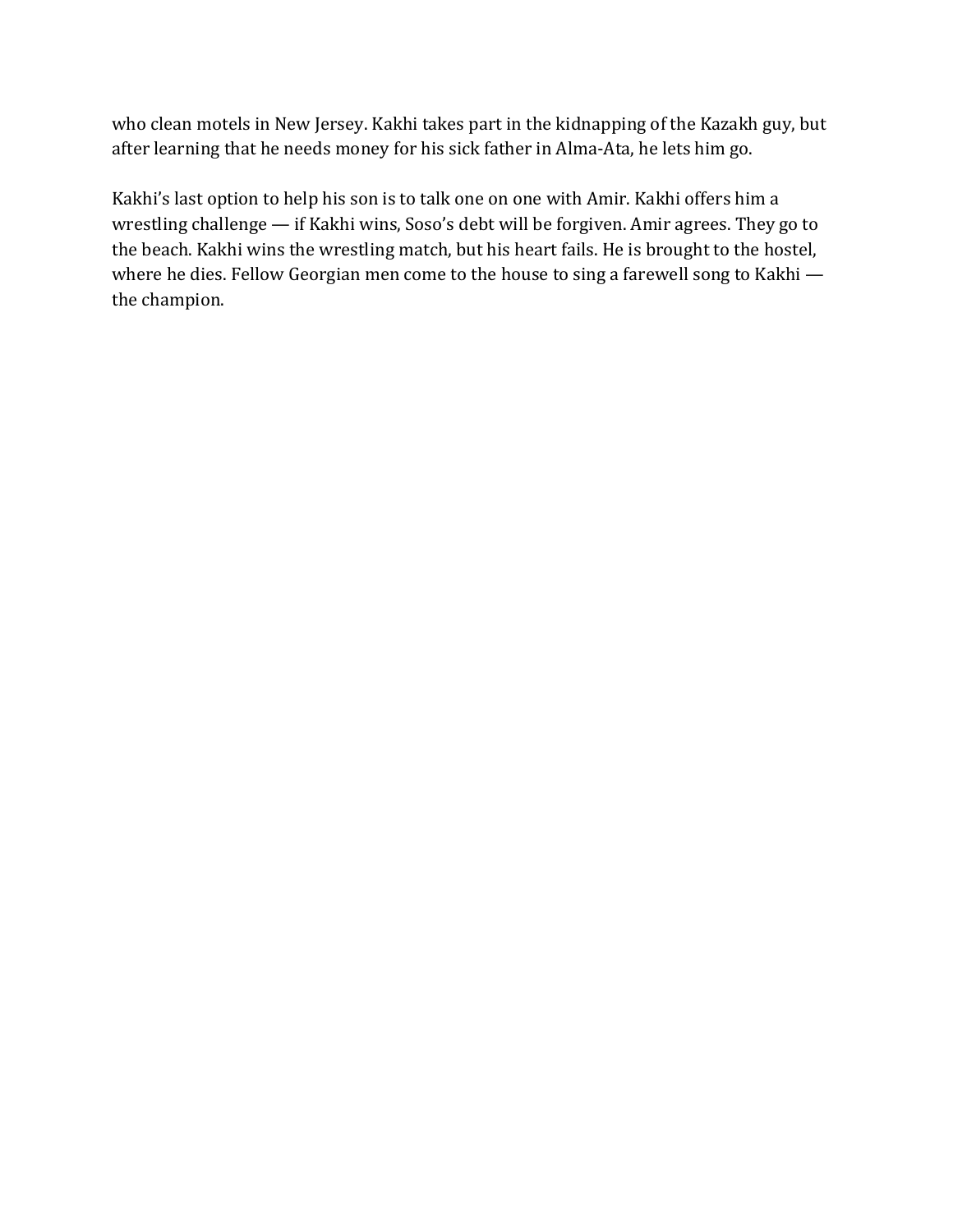who clean motels in New Jersey. Kakhi takes part in the kidnapping of the Kazakh guy, but after learning that he needs money for his sick father in Alma-Ata, he lets him go.

Kakhi's last option to help his son is to talk one on one with Amir. Kakhi offers him a wrestling challenge  $-$  if Kakhi wins, Soso's debt will be forgiven. Amir agrees. They go to the beach. Kakhi wins the wrestling match, but his heart fails. He is brought to the hostel, where he dies. Fellow Georgian men come to the house to sing a farewell song to Kakhi  $$ the champion.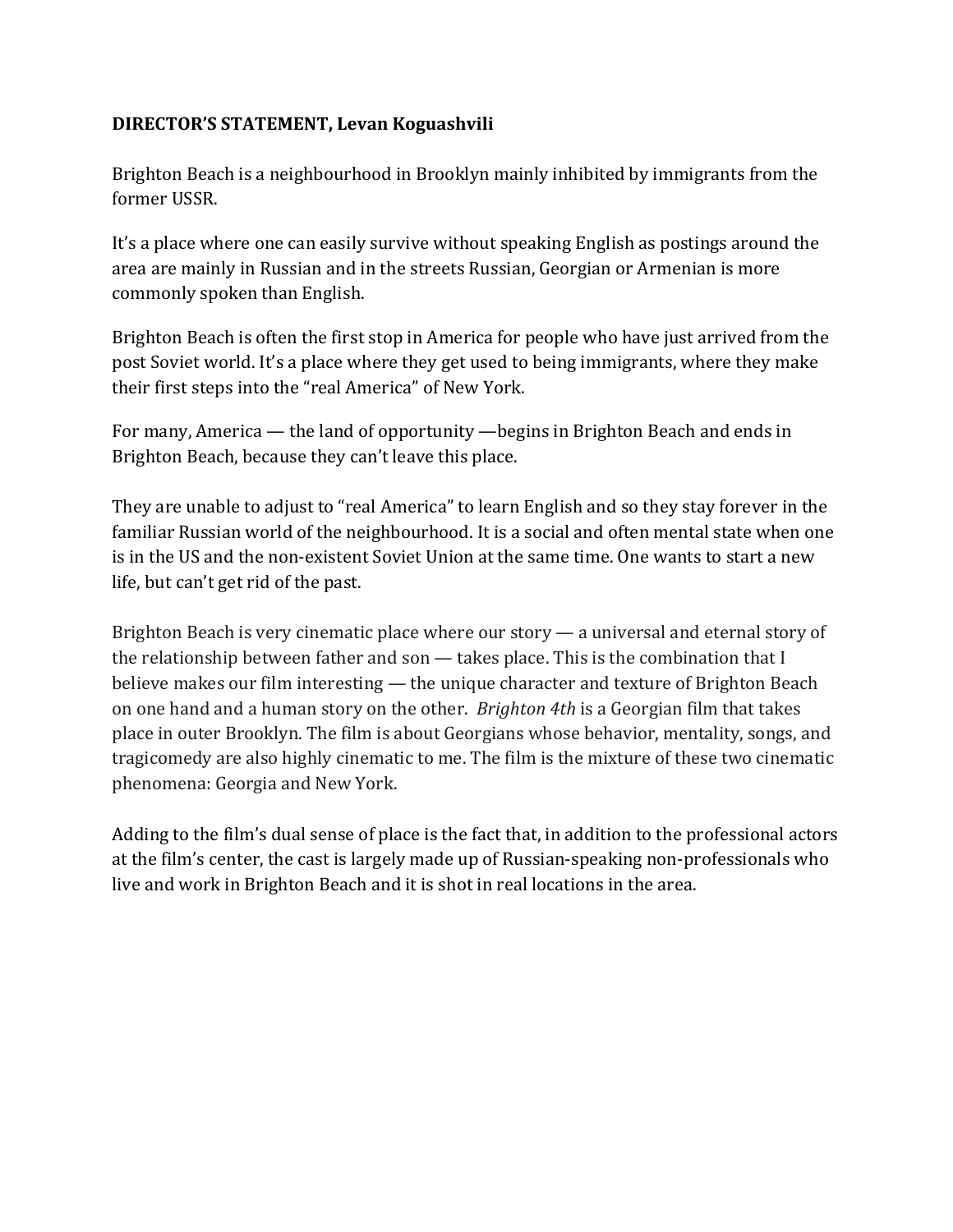# **DIRECTOR'S STATEMENT, Levan Koguashvili**

Brighton Beach is a neighbourhood in Brooklyn mainly inhibited by immigrants from the former USSR.

It's a place where one can easily survive without speaking English as postings around the area are mainly in Russian and in the streets Russian, Georgian or Armenian is more commonly spoken than English.

Brighton Beach is often the first stop in America for people who have just arrived from the post Soviet world. It's a place where they get used to being immigrants, where they make their first steps into the "real America" of New York.

For many, America  $-$  the land of opportunity  $-$ begins in Brighton Beach and ends in Brighton Beach, because they can't leave this place.

They are unable to adjust to "real America" to learn English and so they stay forever in the familiar Russian world of the neighbourhood. It is a social and often mental state when one is in the US and the non-existent Soviet Union at the same time. One wants to start a new life, but can't get rid of the past.

Brighton Beach is very cinematic place where our story  $-$  a universal and eternal story of the relationship between father and son  $-$  takes place. This is the combination that I believe makes our film interesting — the unique character and texture of Brighton Beach on one hand and a human story on the other. *Brighton 4th* is a Georgian film that takes place in outer Brooklyn. The film is about Georgians whose behavior, mentality, songs, and tragicomedy are also highly cinematic to me. The film is the mixture of these two cinematic phenomena: Georgia and New York.

Adding to the film's dual sense of place is the fact that, in addition to the professional actors at the film's center, the cast is largely made up of Russian-speaking non-professionals who live and work in Brighton Beach and it is shot in real locations in the area.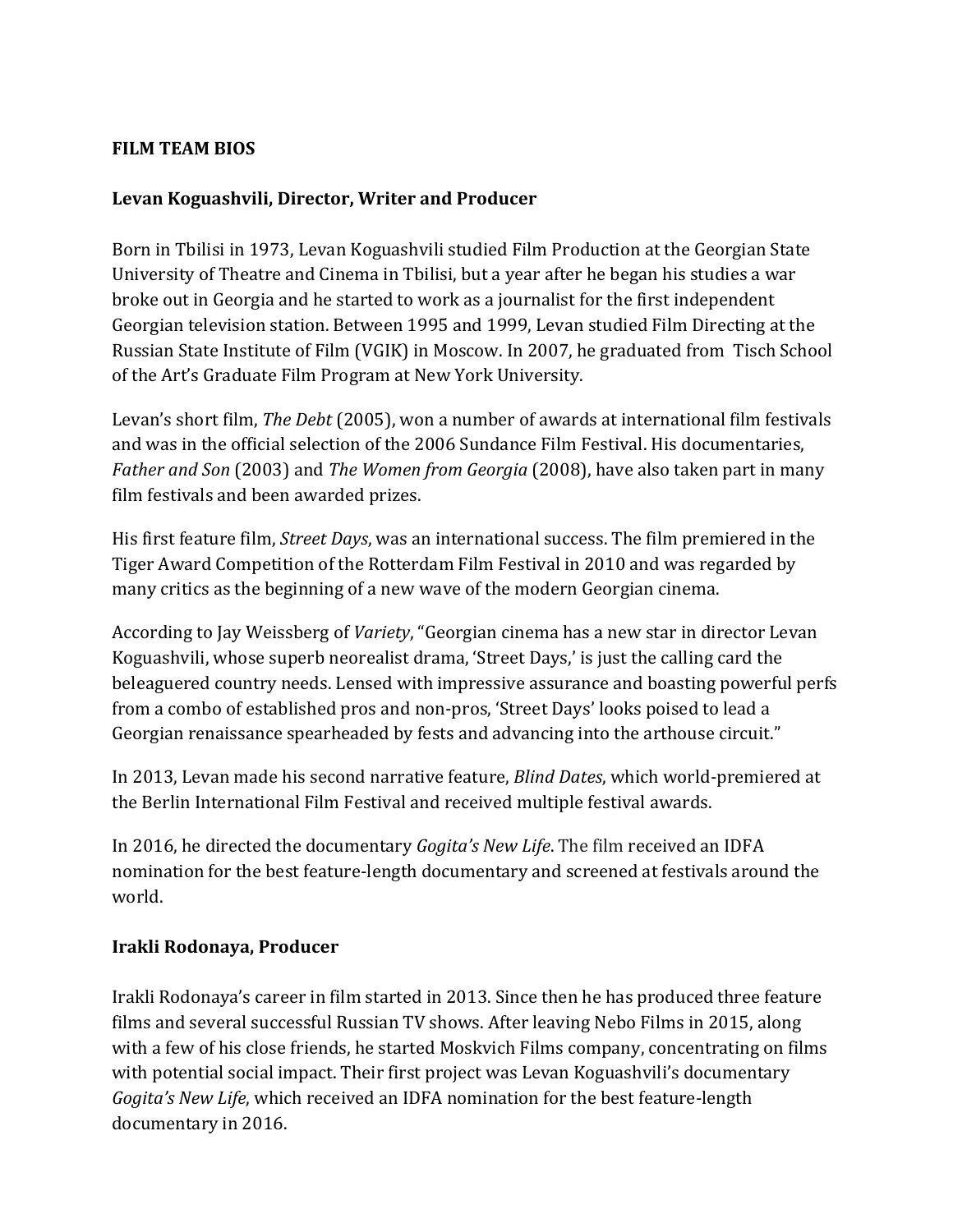## **FILM TEAM BIOS**

# Levan Koguashvili, Director, Writer and Producer

Born in Tbilisi in 1973, Levan Koguashvili studied Film Production at the Georgian State University of Theatre and Cinema in Tbilisi, but a year after he began his studies a war broke out in Georgia and he started to work as a journalist for the first independent Georgian television station. Between 1995 and 1999, Levan studied Film Directing at the Russian State Institute of Film (VGIK) in Moscow. In 2007, he graduated from Tisch School of the Art's Graduate Film Program at New York University.

Levan's short film, *The Debt* (2005), won a number of awards at international film festivals and was in the official selection of the 2006 Sundance Film Festival. His documentaries, *Father and Son* (2003) and *The Women from Georgia* (2008), have also taken part in many film festivals and been awarded prizes.

His first feature film, *Street Days*, was an international success. The film premiered in the Tiger Award Competition of the Rotterdam Film Festival in 2010 and was regarded by many critics as the beginning of a new wave of the modern Georgian cinema.

According to Jay Weissberg of *Variety*, "Georgian cinema has a new star in director Levan Koguashvili, whose superb neorealist drama, 'Street Days,' is just the calling card the beleaguered country needs. Lensed with impressive assurance and boasting powerful perfs from a combo of established pros and non-pros, 'Street Days' looks poised to lead a Georgian renaissance spearheaded by fests and advancing into the arthouse circuit."

In 2013, Levan made his second narrative feature, *Blind Dates*, which world-premiered at the Berlin International Film Festival and received multiple festival awards.

In 2016, he directed the documentary *Gogita's New Life*. The film received an IDFA nomination for the best feature-length documentary and screened at festivals around the world.

#### **Irakli Rodonaya, Producer**

Irakli Rodonaya's career in film started in 2013. Since then he has produced three feature films and several successful Russian TV shows. After leaving Nebo Films in 2015, along with a few of his close friends, he started Moskvich Films company, concentrating on films with potential social impact. Their first project was Levan Koguashvili's documentary *Gogita's New Life*, which received an IDFA nomination for the best feature-length documentary in 2016.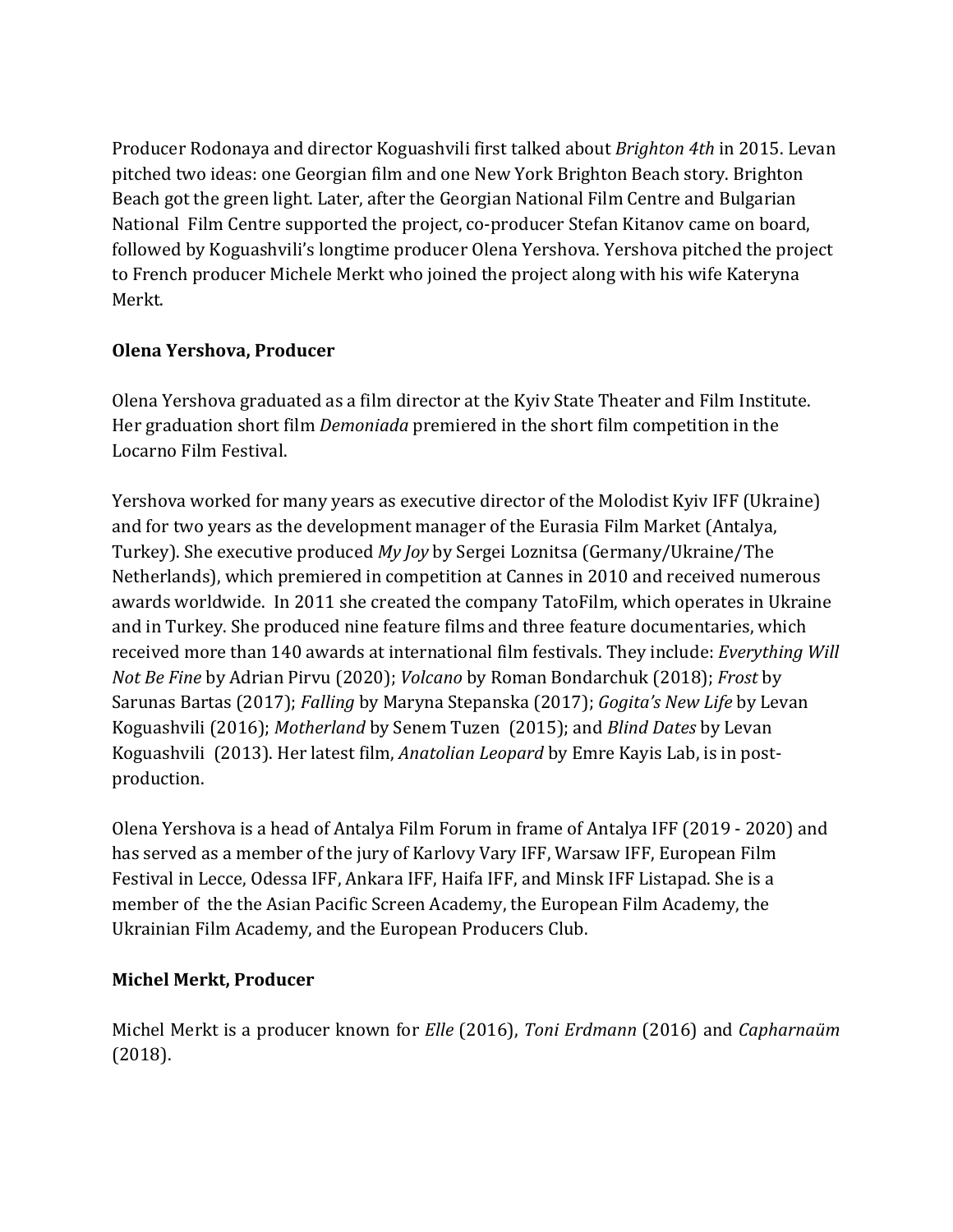Producer Rodonaya and director Koguashvili first talked about *Brighton 4th* in 2015. Levan pitched two ideas: one Georgian film and one New York Brighton Beach story. Brighton Beach got the green light. Later, after the Georgian National Film Centre and Bulgarian National Film Centre supported the project, co-producer Stefan Kitanov came on board, followed by Koguashvili's longtime producer Olena Yershova. Yershova pitched the project to French producer Michele Merkt who joined the project along with his wife Kateryna Merkt. 

# **Olena Yershova, Producer**

Olena Yershova graduated as a film director at the Kyiv State Theater and Film Institute. Her graduation short film *Demoniada* premiered in the short film competition in the Locarno Film Festival.

Yershova worked for many years as executive director of the Molodist Kyiv IFF (Ukraine) and for two years as the development manager of the Eurasia Film Market (Antalya, Turkey). She executive produced *My Joy* by Sergei Loznitsa (Germany/Ukraine/The Netherlands), which premiered in competition at Cannes in 2010 and received numerous awards worldwide. In 2011 she created the company TatoFilm, which operates in Ukraine and in Turkey. She produced nine feature films and three feature documentaries, which received more than 140 awards at international film festivals. They include: *Everything Will Not Be Fine* by Adrian Pirvu (2020); *Volcano* by Roman Bondarchuk (2018); *Frost* by Sarunas Bartas (2017); *Falling* by Maryna Stepanska (2017); *Gogita's New Life* by Levan Koguashvili (2016); *Motherland* by Senem Tuzen (2015); and *Blind Dates* by Levan Koguashvili (2013). Her latest film, *Anatolian Leopard* by Emre Kayis Lab, is in postproduction.

Olena Yershova is a head of Antalya Film Forum in frame of Antalya IFF (2019 - 2020) and has served as a member of the jury of Karlovy Vary IFF, Warsaw IFF, European Film Festival in Lecce, Odessa IFF, Ankara IFF, Haifa IFF, and Minsk IFF Listapad. She is a member of the the Asian Pacific Screen Academy, the European Film Academy, the Ukrainian Film Academy, and the European Producers Club.

# **Michel Merkt, Producer**

Michel Merkt is a producer known for *Elle* (2016), *Toni Erdmann* (2016) and *Capharnaüm* (2018).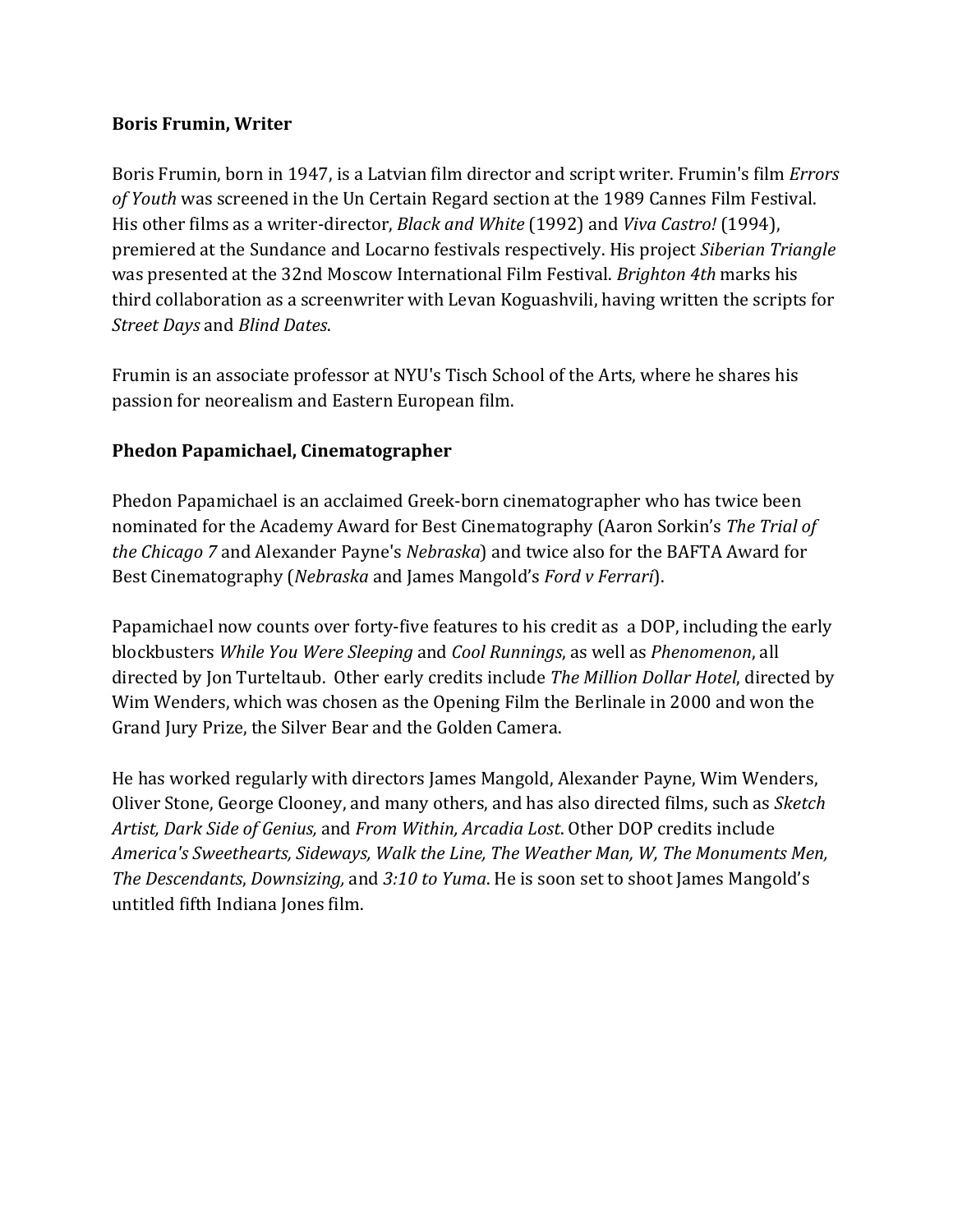#### **Boris Frumin, Writer**

Boris Frumin, born in 1947, is a Latvian film director and script writer. Frumin's film *Errors* of Youth was screened in the Un Certain Regard section at the 1989 Cannes Film Festival. His other films as a writer-director, *Black and White* (1992) and *Viva Castro!* (1994), premiered at the Sundance and Locarno festivals respectively. His project *Siberian Triangle* was presented at the 32nd Moscow International Film Festival. *Brighton 4th* marks his third collaboration as a screenwriter with Levan Koguashvili, having written the scripts for *Street Days* and *Blind Dates*.

Frumin is an associate professor at NYU's Tisch School of the Arts, where he shares his passion for neorealism and Eastern European film.

# **Phedon Papamichael, Cinematographer**

Phedon Papamichael is an acclaimed Greek-born cinematographer who has twice been nominated for the Academy Award for Best Cinematography (Aaron Sorkin's *The Trial of the Chicago* 7 and Alexander Payne's *Nebraska*) and twice also for the BAFTA Award for Best Cinematography (*Nebraska* and James Mangold's *Ford v Ferrari*).

Papamichael now counts over forty-five features to his credit as a DOP, including the early blockbusters *While You Were Sleeping* and *Cool Runnings*, as well as *Phenomenon*, all directed by Ion Turteltaub. Other early credits include *The Million Dollar Hotel*, directed by Wim Wenders, which was chosen as the Opening Film the Berlinale in 2000 and won the Grand Jury Prize, the Silver Bear and the Golden Camera.

He has worked regularly with directors James Mangold, Alexander Payne, Wim Wenders, Oliver Stone, George Clooney, and many others, and has also directed films, such as *Sketch* Artist, Dark Side of Genius, and From Within, Arcadia Lost. Other DOP credits include America's Sweethearts, Sideways, Walk the Line, The Weather Man, W, The Monuments Men, *The Descendants, Downsizing,* and 3:10 to *Yuma*. He is soon set to shoot James Mangold's untitled fifth Indiana Jones film.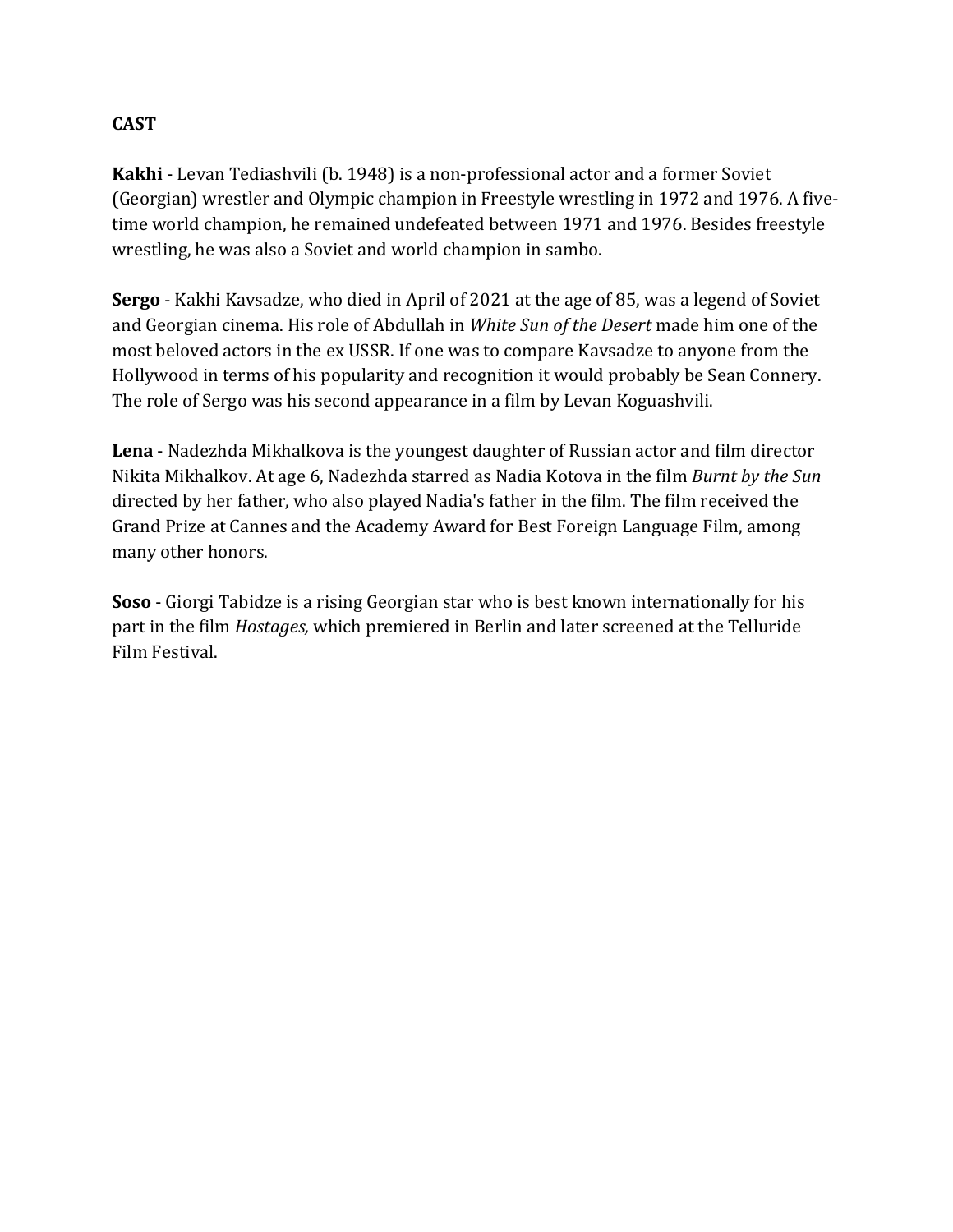# **CAST**

**Kakhi** - Levan Tediashvili (b. 1948) is a non-professional actor and a former Soviet (Georgian) wrestler and Olympic champion in Freestyle wrestling in 1972 and 1976. A fivetime world champion, he remained undefeated between 1971 and 1976. Besides freestyle wrestling, he was also a Soviet and world champion in sambo.

**Sergo** - Kakhi Kavsadze, who died in April of 2021 at the age of 85, was a legend of Soviet and Georgian cinema. His role of Abdullah in *White Sun of the Desert* made him one of the most beloved actors in the ex USSR. If one was to compare Kavsadze to anyone from the Hollywood in terms of his popularity and recognition it would probably be Sean Connery. The role of Sergo was his second appearance in a film by Levan Koguashvili.

**Lena** - Nadezhda Mikhalkova is the youngest daughter of Russian actor and film director Nikita Mikhalkov. At age 6, Nadezhda starred as Nadia Kotova in the film *Burnt by the Sun* directed by her father, who also played Nadia's father in the film. The film received the Grand Prize at Cannes and the Academy Award for Best Foreign Language Film, among many other honors.

**Soso** - Giorgi Tabidze is a rising Georgian star who is best known internationally for his part in the film *Hostages*, which premiered in Berlin and later screened at the Telluride Film Festival.